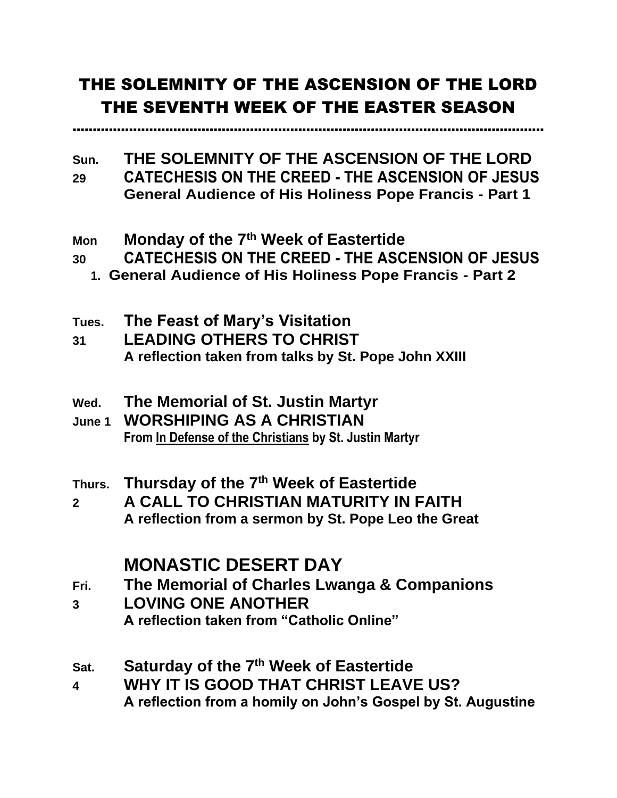# THE SOLEMNITY OF THE ASCENSION OF THE LORD THE SEVENTH WEEK OF THE EASTER SEASON

………………………………………………………………………………………………………

- **Sun. THE SOLEMNITY OF THE ASCENSION OF THE LORD <sup>29</sup> CATECHESIS ON THE CREED - THE ASCENSION OF JESUS General Audience of His Holiness Pope Francis - Part 1**
- **Mon Monday of the 7th Week of Eastertide**
- **<sup>30</sup> CATECHESIS ON THE CREED - THE ASCENSION OF JESUS**
	- **1. General Audience of His Holiness Pope Francis - Part 2**
- **Tues. The Feast of Mary's Visitation**
- **31 LEADING OTHERS TO CHRIST A reflection taken from talks by St. Pope John XXIII**
- **Wed. The Memorial of St. Justin Martyr**
- **June 1 WORSHIPING AS A CHRISTIAN From In Defense of the Christians by St. Justin Martyr**
- **Thurs. Thursday of the 7th Week of Eastertide**
- **2 A CALL TO CHRISTIAN MATURITY IN FAITH A reflection from a sermon by St. Pope Leo the Great**

## **MONASTIC DESERT DAY**

- **Fri. The Memorial of Charles Lwanga & Companions 3 LOVING ONE ANOTHER A reflection taken from "Catholic Online"**
- **Sat. Saturday of the 7th Week of Eastertide 4 WHY IT IS GOOD THAT CHRIST LEAVE US? A reflection from a homily on John's Gospel by St. Augustine**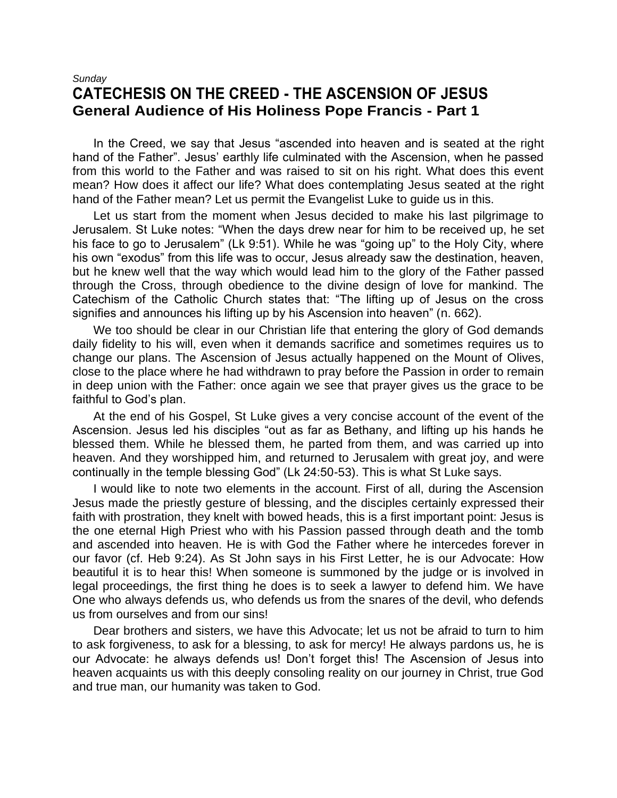#### *Sunday* **CATECHESIS ON THE CREED - THE ASCENSION OF JESUS General Audience of His Holiness Pope Francis - Part 1**

In the Creed, we say that Jesus "ascended into heaven and is seated at the right hand of the Father". Jesus' earthly life culminated with the Ascension, when he passed from this world to the Father and was raised to sit on his right. What does this event mean? How does it affect our life? What does contemplating Jesus seated at the right hand of the Father mean? Let us permit the Evangelist Luke to guide us in this.

Let us start from the moment when Jesus decided to make his last pilgrimage to Jerusalem. St Luke notes: "When the days drew near for him to be received up, he set his face to go to Jerusalem" (Lk 9:51). While he was "going up" to the Holy City, where his own "exodus" from this life was to occur, Jesus already saw the destination, heaven, but he knew well that the way which would lead him to the glory of the Father passed through the Cross, through obedience to the divine design of love for mankind. The Catechism of the Catholic Church states that: "The lifting up of Jesus on the cross signifies and announces his lifting up by his Ascension into heaven" (n. 662).

We too should be clear in our Christian life that entering the glory of God demands daily fidelity to his will, even when it demands sacrifice and sometimes requires us to change our plans. The Ascension of Jesus actually happened on the Mount of Olives, close to the place where he had withdrawn to pray before the Passion in order to remain in deep union with the Father: once again we see that prayer gives us the grace to be faithful to God's plan.

At the end of his Gospel, St Luke gives a very concise account of the event of the Ascension. Jesus led his disciples "out as far as Bethany, and lifting up his hands he blessed them. While he blessed them, he parted from them, and was carried up into heaven. And they worshipped him, and returned to Jerusalem with great joy, and were continually in the temple blessing God" (Lk 24:50-53). This is what St Luke says.

I would like to note two elements in the account. First of all, during the Ascension Jesus made the priestly gesture of blessing, and the disciples certainly expressed their faith with prostration, they knelt with bowed heads, this is a first important point: Jesus is the one eternal High Priest who with his Passion passed through death and the tomb and ascended into heaven. He is with God the Father where he intercedes forever in our favor (cf. Heb 9:24). As St John says in his First Letter, he is our Advocate: How beautiful it is to hear this! When someone is summoned by the judge or is involved in legal proceedings, the first thing he does is to seek a lawyer to defend him. We have One who always defends us, who defends us from the snares of the devil, who defends us from ourselves and from our sins!

Dear brothers and sisters, we have this Advocate; let us not be afraid to turn to him to ask forgiveness, to ask for a blessing, to ask for mercy! He always pardons us, he is our Advocate: he always defends us! Don't forget this! The Ascension of Jesus into heaven acquaints us with this deeply consoling reality on our journey in Christ, true God and true man, our humanity was taken to God.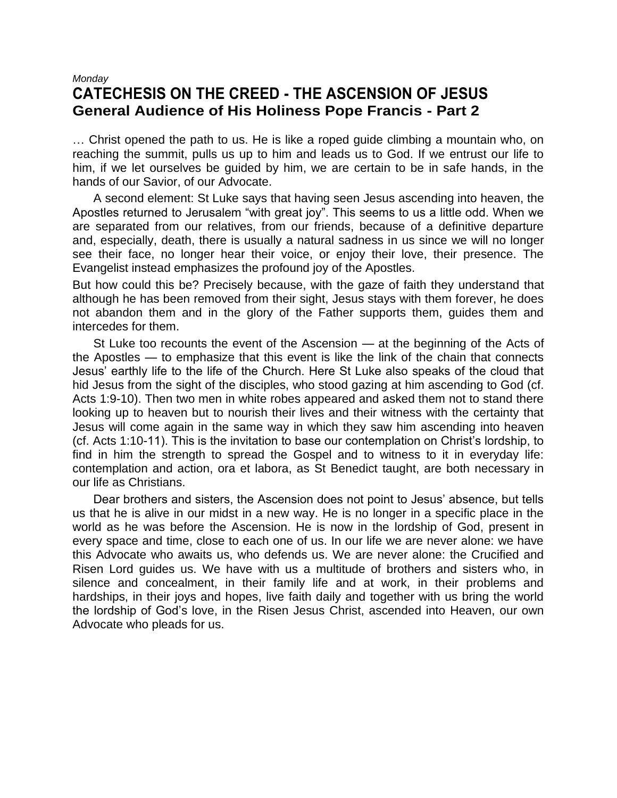#### *Monday* **CATECHESIS ON THE CREED - THE ASCENSION OF JESUS General Audience of His Holiness Pope Francis - Part 2**

… Christ opened the path to us. He is like a roped guide climbing a mountain who, on reaching the summit, pulls us up to him and leads us to God. If we entrust our life to him, if we let ourselves be guided by him, we are certain to be in safe hands, in the hands of our Savior, of our Advocate.

A second element: St Luke says that having seen Jesus ascending into heaven, the Apostles returned to Jerusalem "with great joy". This seems to us a little odd. When we are separated from our relatives, from our friends, because of a definitive departure and, especially, death, there is usually a natural sadness in us since we will no longer see their face, no longer hear their voice, or enjoy their love, their presence. The Evangelist instead emphasizes the profound joy of the Apostles.

But how could this be? Precisely because, with the gaze of faith they understand that although he has been removed from their sight, Jesus stays with them forever, he does not abandon them and in the glory of the Father supports them, guides them and intercedes for them.

St Luke too recounts the event of the Ascension — at the beginning of the Acts of the Apostles — to emphasize that this event is like the link of the chain that connects Jesus' earthly life to the life of the Church. Here St Luke also speaks of the cloud that hid Jesus from the sight of the disciples, who stood gazing at him ascending to God (cf. Acts 1:9-10). Then two men in white robes appeared and asked them not to stand there looking up to heaven but to nourish their lives and their witness with the certainty that Jesus will come again in the same way in which they saw him ascending into heaven (cf. Acts 1:10-11). This is the invitation to base our contemplation on Christ's lordship, to find in him the strength to spread the Gospel and to witness to it in everyday life: contemplation and action, ora et labora, as St Benedict taught, are both necessary in our life as Christians.

Dear brothers and sisters, the Ascension does not point to Jesus' absence, but tells us that he is alive in our midst in a new way. He is no longer in a specific place in the world as he was before the Ascension. He is now in the lordship of God, present in every space and time, close to each one of us. In our life we are never alone: we have this Advocate who awaits us, who defends us. We are never alone: the Crucified and Risen Lord guides us. We have with us a multitude of brothers and sisters who, in silence and concealment, in their family life and at work, in their problems and hardships, in their joys and hopes, live faith daily and together with us bring the world the lordship of God's love, in the Risen Jesus Christ, ascended into Heaven, our own Advocate who pleads for us.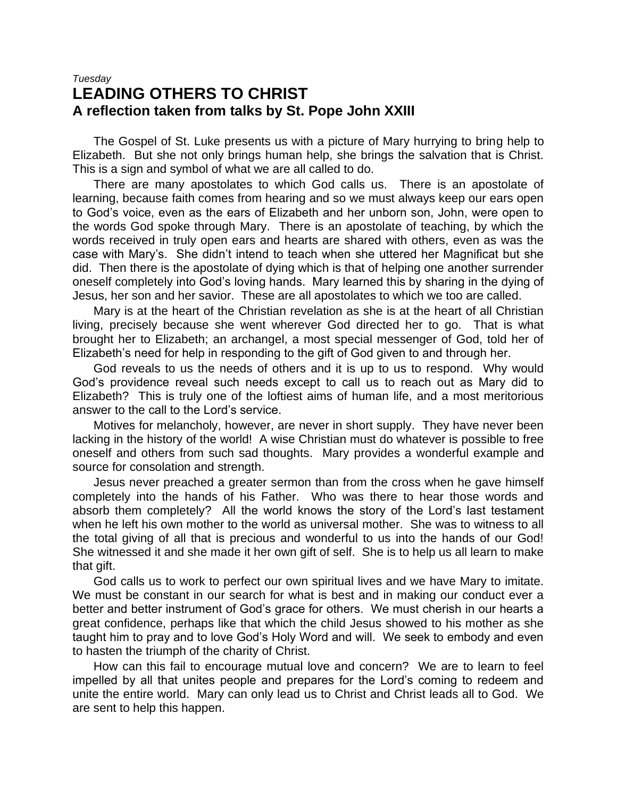#### *Tuesday* **LEADING OTHERS TO CHRIST A reflection taken from talks by St. Pope John XXIII**

The Gospel of St. Luke presents us with a picture of Mary hurrying to bring help to Elizabeth. But she not only brings human help, she brings the salvation that is Christ. This is a sign and symbol of what we are all called to do.

There are many apostolates to which God calls us. There is an apostolate of learning, because faith comes from hearing and so we must always keep our ears open to God's voice, even as the ears of Elizabeth and her unborn son, John, were open to the words God spoke through Mary. There is an apostolate of teaching, by which the words received in truly open ears and hearts are shared with others, even as was the case with Mary's. She didn't intend to teach when she uttered her Magnificat but she did. Then there is the apostolate of dying which is that of helping one another surrender oneself completely into God's loving hands. Mary learned this by sharing in the dying of Jesus, her son and her savior. These are all apostolates to which we too are called.

Mary is at the heart of the Christian revelation as she is at the heart of all Christian living, precisely because she went wherever God directed her to go. That is what brought her to Elizabeth; an archangel, a most special messenger of God, told her of Elizabeth's need for help in responding to the gift of God given to and through her.

God reveals to us the needs of others and it is up to us to respond. Why would God's providence reveal such needs except to call us to reach out as Mary did to Elizabeth? This is truly one of the loftiest aims of human life, and a most meritorious answer to the call to the Lord's service.

Motives for melancholy, however, are never in short supply. They have never been lacking in the history of the world! A wise Christian must do whatever is possible to free oneself and others from such sad thoughts. Mary provides a wonderful example and source for consolation and strength.

Jesus never preached a greater sermon than from the cross when he gave himself completely into the hands of his Father. Who was there to hear those words and absorb them completely? All the world knows the story of the Lord's last testament when he left his own mother to the world as universal mother. She was to witness to all the total giving of all that is precious and wonderful to us into the hands of our God! She witnessed it and she made it her own gift of self. She is to help us all learn to make that gift.

God calls us to work to perfect our own spiritual lives and we have Mary to imitate. We must be constant in our search for what is best and in making our conduct ever a better and better instrument of God's grace for others. We must cherish in our hearts a great confidence, perhaps like that which the child Jesus showed to his mother as she taught him to pray and to love God's Holy Word and will. We seek to embody and even to hasten the triumph of the charity of Christ.

How can this fail to encourage mutual love and concern? We are to learn to feel impelled by all that unites people and prepares for the Lord's coming to redeem and unite the entire world. Mary can only lead us to Christ and Christ leads all to God. We are sent to help this happen.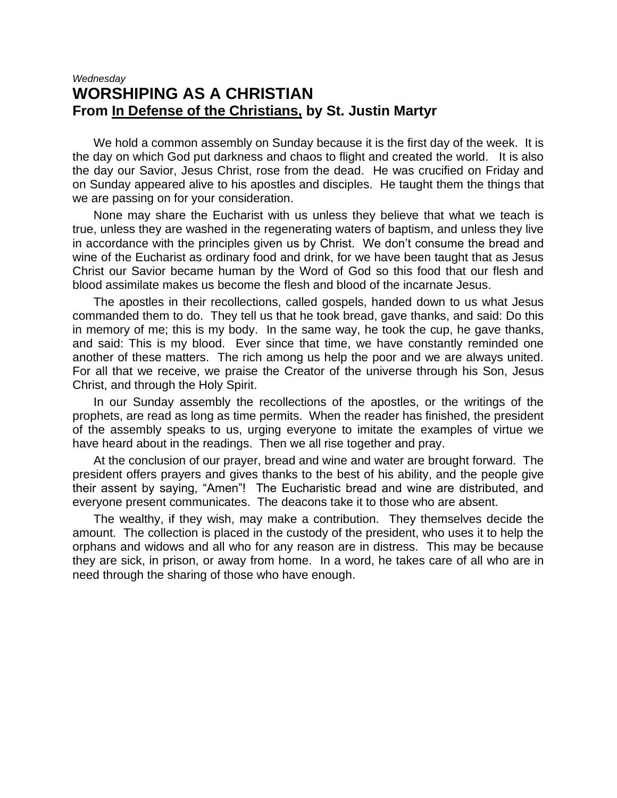#### *Wednesday* **WORSHIPING AS A CHRISTIAN From In Defense of the Christians, by St. Justin Martyr**

We hold a common assembly on Sunday because it is the first day of the week. It is the day on which God put darkness and chaos to flight and created the world. It is also the day our Savior, Jesus Christ, rose from the dead. He was crucified on Friday and on Sunday appeared alive to his apostles and disciples. He taught them the things that we are passing on for your consideration.

None may share the Eucharist with us unless they believe that what we teach is true, unless they are washed in the regenerating waters of baptism, and unless they live in accordance with the principles given us by Christ. We don't consume the bread and wine of the Eucharist as ordinary food and drink, for we have been taught that as Jesus Christ our Savior became human by the Word of God so this food that our flesh and blood assimilate makes us become the flesh and blood of the incarnate Jesus.

The apostles in their recollections, called gospels, handed down to us what Jesus commanded them to do. They tell us that he took bread, gave thanks, and said: Do this in memory of me; this is my body. In the same way, he took the cup, he gave thanks, and said: This is my blood. Ever since that time, we have constantly reminded one another of these matters. The rich among us help the poor and we are always united. For all that we receive, we praise the Creator of the universe through his Son, Jesus Christ, and through the Holy Spirit.

In our Sunday assembly the recollections of the apostles, or the writings of the prophets, are read as long as time permits. When the reader has finished, the president of the assembly speaks to us, urging everyone to imitate the examples of virtue we have heard about in the readings. Then we all rise together and pray.

At the conclusion of our prayer, bread and wine and water are brought forward. The president offers prayers and gives thanks to the best of his ability, and the people give their assent by saying, "Amen"! The Eucharistic bread and wine are distributed, and everyone present communicates. The deacons take it to those who are absent.

The wealthy, if they wish, may make a contribution. They themselves decide the amount. The collection is placed in the custody of the president, who uses it to help the orphans and widows and all who for any reason are in distress. This may be because they are sick, in prison, or away from home. In a word, he takes care of all who are in need through the sharing of those who have enough.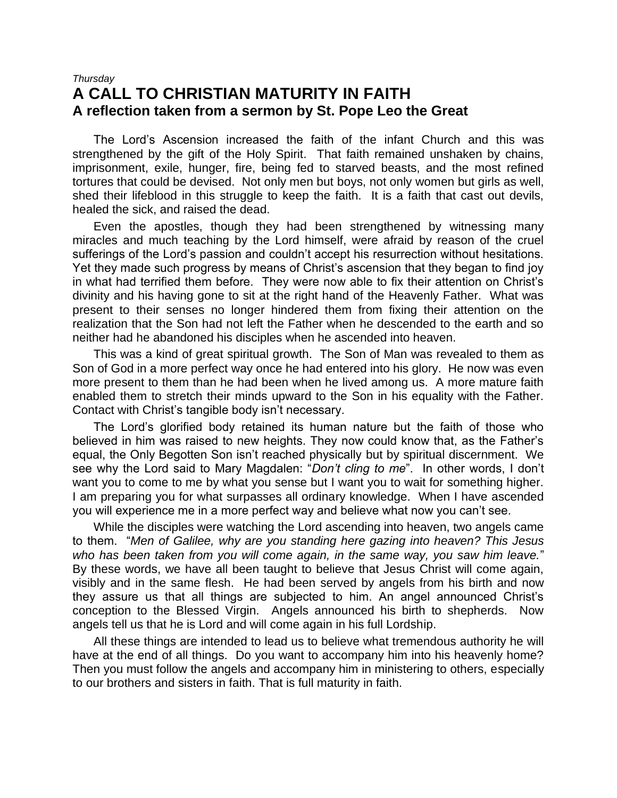#### *Thursday* **A CALL TO CHRISTIAN MATURITY IN FAITH A reflection taken from a sermon by St. Pope Leo the Great**

The Lord's Ascension increased the faith of the infant Church and this was strengthened by the gift of the Holy Spirit. That faith remained unshaken by chains, imprisonment, exile, hunger, fire, being fed to starved beasts, and the most refined tortures that could be devised. Not only men but boys, not only women but girls as well, shed their lifeblood in this struggle to keep the faith. It is a faith that cast out devils, healed the sick, and raised the dead.

Even the apostles, though they had been strengthened by witnessing many miracles and much teaching by the Lord himself, were afraid by reason of the cruel sufferings of the Lord's passion and couldn't accept his resurrection without hesitations. Yet they made such progress by means of Christ's ascension that they began to find joy in what had terrified them before. They were now able to fix their attention on Christ's divinity and his having gone to sit at the right hand of the Heavenly Father. What was present to their senses no longer hindered them from fixing their attention on the realization that the Son had not left the Father when he descended to the earth and so neither had he abandoned his disciples when he ascended into heaven.

This was a kind of great spiritual growth. The Son of Man was revealed to them as Son of God in a more perfect way once he had entered into his glory. He now was even more present to them than he had been when he lived among us. A more mature faith enabled them to stretch their minds upward to the Son in his equality with the Father. Contact with Christ's tangible body isn't necessary.

The Lord's glorified body retained its human nature but the faith of those who believed in him was raised to new heights. They now could know that, as the Father's equal, the Only Begotten Son isn't reached physically but by spiritual discernment. We see why the Lord said to Mary Magdalen: "*Don't cling to me*". In other words, I don't want you to come to me by what you sense but I want you to wait for something higher. I am preparing you for what surpasses all ordinary knowledge. When I have ascended you will experience me in a more perfect way and believe what now you can't see.

While the disciples were watching the Lord ascending into heaven, two angels came to them. "*Men of Galilee, why are you standing here gazing into heaven? This Jesus who has been taken from you will come again, in the same way, you saw him leave.*" By these words, we have all been taught to believe that Jesus Christ will come again, visibly and in the same flesh. He had been served by angels from his birth and now they assure us that all things are subjected to him. An angel announced Christ's conception to the Blessed Virgin. Angels announced his birth to shepherds. Now angels tell us that he is Lord and will come again in his full Lordship.

All these things are intended to lead us to believe what tremendous authority he will have at the end of all things. Do you want to accompany him into his heavenly home? Then you must follow the angels and accompany him in ministering to others, especially to our brothers and sisters in faith. That is full maturity in faith.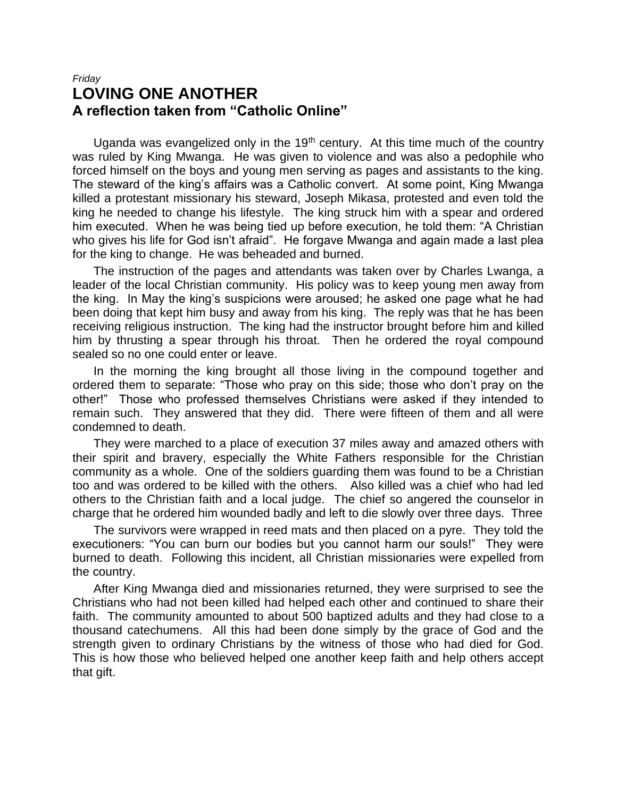#### *Friday* **LOVING ONE ANOTHER A reflection taken from "Catholic Online"**

Uganda was evangelized only in the  $19<sup>th</sup>$  century. At this time much of the country was ruled by King Mwanga. He was given to violence and was also a pedophile who forced himself on the boys and young men serving as pages and assistants to the king. The steward of the king's affairs was a Catholic convert. At some point, King Mwanga killed a protestant missionary his steward, Joseph Mikasa, protested and even told the king he needed to change his lifestyle. The king struck him with a spear and ordered him executed. When he was being tied up before execution, he told them: "A Christian who gives his life for God isn't afraid". He forgave Mwanga and again made a last plea for the king to change. He was beheaded and burned.

The instruction of the pages and attendants was taken over by Charles Lwanga, a leader of the local Christian community. His policy was to keep young men away from the king. In May the king's suspicions were aroused; he asked one page what he had been doing that kept him busy and away from his king. The reply was that he has been receiving religious instruction. The king had the instructor brought before him and killed him by thrusting a spear through his throat. Then he ordered the royal compound sealed so no one could enter or leave.

In the morning the king brought all those living in the compound together and ordered them to separate: "Those who pray on this side; those who don't pray on the other!" Those who professed themselves Christians were asked if they intended to remain such. They answered that they did. There were fifteen of them and all were condemned to death.

They were marched to a place of execution 37 miles away and amazed others with their spirit and bravery, especially the White Fathers responsible for the Christian community as a whole. One of the soldiers guarding them was found to be a Christian too and was ordered to be killed with the others. Also killed was a chief who had led others to the Christian faith and a local judge. The chief so angered the counselor in charge that he ordered him wounded badly and left to die slowly over three days. Three

The survivors were wrapped in reed mats and then placed on a pyre. They told the executioners: "You can burn our bodies but you cannot harm our souls!" They were burned to death. Following this incident, all Christian missionaries were expelled from the country.

After King Mwanga died and missionaries returned, they were surprised to see the Christians who had not been killed had helped each other and continued to share their faith. The community amounted to about 500 baptized adults and they had close to a thousand catechumens. All this had been done simply by the grace of God and the strength given to ordinary Christians by the witness of those who had died for God. This is how those who believed helped one another keep faith and help others accept that gift.